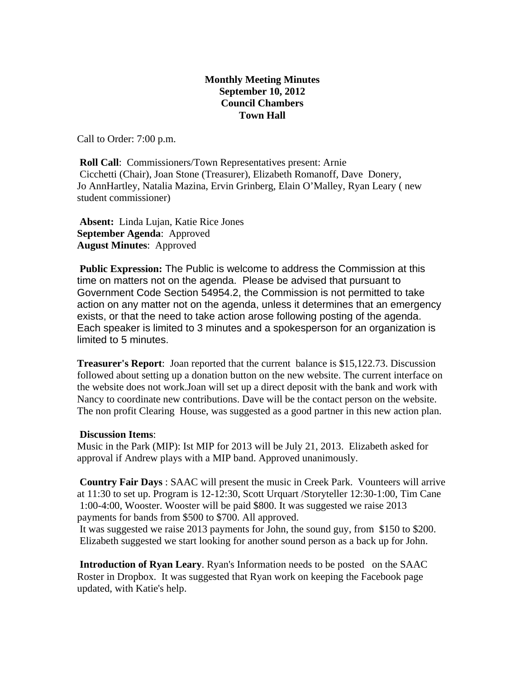## **Monthly Meeting Minutes September 10, 2012 Council Chambers Town Hall**

Call to Order: 7:00 p.m.

**Roll Call:** Commissioners/Town Representatives present: Arnie Cicchetti (Chair), Joan Stone (Treasurer), Elizabeth Romanoff, Dave Donery, Jo AnnHartley, Natalia Mazina, Ervin Grinberg, Elain O'Malley, Ryan Leary ( new student commissioner)

 **Absent:** Linda Lujan, Katie Rice Jones **September Agenda**: Approved **August Minutes**: Approved

 **Public Expression:** The Public is welcome to address the Commission at this time on matters not on the agenda. Please be advised that pursuant to Government Code Section 54954.2, the Commission is not permitted to take action on any matter not on the agenda, unless it determines that an emergency exists, or that the need to take action arose following posting of the agenda. Each speaker is limited to 3 minutes and a spokesperson for an organization is limited to 5 minutes.

**Treasurer's Report**: Joan reported that the current balance is \$15,122.73. Discussion followed about setting up a donation button on the new website. The current interface on the website does not work.Joan will set up a direct deposit with the bank and work with Nancy to coordinate new contributions. Dave will be the contact person on the website. The non profit Clearing House, was suggested as a good partner in this new action plan.

## **Discussion Items**:

Music in the Park (MIP): Ist MIP for 2013 will be July 21, 2013. Elizabeth asked for approval if Andrew plays with a MIP band. Approved unanimously.

 **Country Fair Days** : SAAC will present the music in Creek Park. Vounteers will arrive at 11:30 to set up. Program is 12-12:30, Scott Urquart /Storyteller 12:30-1:00, Tim Cane 1:00-4:00, Wooster. Wooster will be paid \$800. It was suggested we raise 2013 payments for bands from \$500 to \$700. All approved.

 It was suggested we raise 2013 payments for John, the sound guy, from \$150 to \$200. Elizabeth suggested we start looking for another sound person as a back up for John.

 **Introduction of Ryan Leary**. Ryan's Information needs to be posted on the SAAC Roster in Dropbox. It was suggested that Ryan work on keeping the Facebook page updated, with Katie's help.